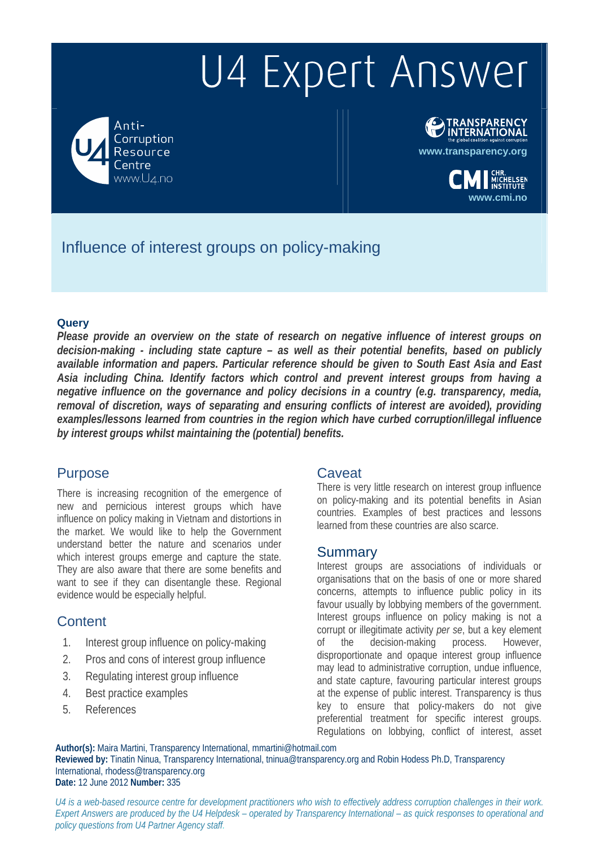# U4 Expert Answer

Anti-Corruption Resource entre www.U4.no



**www.cmi.no**

.<br>HELSEN<br>ITUTE

## Influence of interest groups on policy-making

#### **Query**

*Please provide an overview on the state of research on negative influence of interest groups on decision-making - including state capture – as well as their potential benefits, based on publicly available information and papers. Particular reference should be given to South East Asia and East Asia including China. Identify factors which control and prevent interest groups from having a negative influence on the governance and policy decisions in a country (e.g. transparency, media, removal of discretion, ways of separating and ensuring conflicts of interest are avoided), providing examples/lessons learned from countries in the region which have curbed corruption/illegal influence by interest groups whilst maintaining the (potential) benefits.* 

#### Purpose

There is increasing recognition of the emergence of new and pernicious interest groups which have influence on policy making in Vietnam and distortions in the market. We would like to help the Government understand better the nature and scenarios under which interest groups emerge and capture the state. They are also aware that there are some benefits and want to see if they can disentangle these. Regional evidence would be especially helpful.

### **Content**

- 1. Interest group influence on policy-making
- 2. Pros and cons of interest group influence
- 3. Regulating interest group influence
- 4. Best practice examples
- 5. References

#### **Caveat**

There is very little research on interest group influence on policy-making and its potential benefits in Asian countries. Examples of best practices and lessons learned from these countries are also scarce.

#### Summary

Interest groups are associations of individuals or organisations that on the basis of one or more shared concerns, attempts to influence public policy in its favour usually by lobbying members of the government. Interest groups influence on policy making is not a corrupt or illegitimate activity *per se*, but a key element of the decision-making process. However, disproportionate and opaque interest group influence may lead to administrative corruption, undue influence, and state capture, favouring particular interest groups at the expense of public interest. Transparency is thus key to ensure that policy-makers do not give preferential treatment for specific interest groups. Regulations on lobbying, conflict of interest, asset

**Author(s):** Maira Martini, Transparency International, mmartini@hotmail.com **Reviewed by:** Tinatin Ninua, Transparency International, tninua@transparency.org and Robin Hodess Ph.D, Transparency International, rhodess@transparency.org **Date:** 12 June 2012 **Number:** 335

*U4 is a web-based resource centre for development practitioners who wish to effectively address corruption challenges in their work. Expert Answers are produced by the U4 Helpdesk – operated by Transparency International – as quick responses to operational and policy questions from U4 Partner Agency staff.*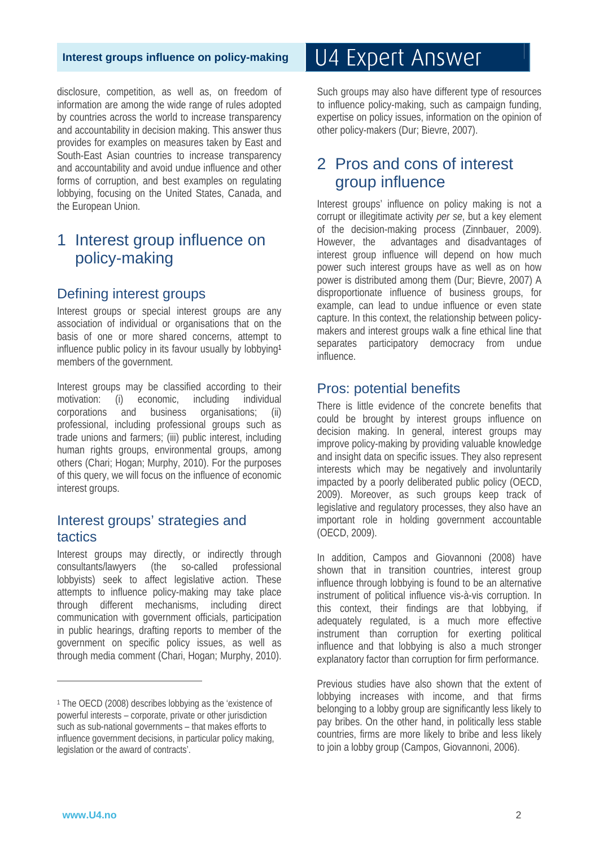disclosure, competition, as well as, on freedom of information are among the wide range of rules adopted by countries across the world to increase transparency and accountability in decision making. This answer thus provides for examples on measures taken by East and South-East Asian countries to increase transparency and accountability and avoid undue influence and other forms of corruption, and best examples on regulating lobbying, focusing on the United States, Canada, and the European Union.

### 1 Interest group influence on policy-making

#### Defining interest groups

Interest groups or special interest groups are any association of individual or organisations that on the basis of one or more shared concerns, attempt to influence public policy in its favour usually by lobbying1 members of the government.

Interest groups may be classified according to their motivation: (i) economic, including individual corporations and business organisations; (ii) professional, including professional groups such as trade unions and farmers; (iii) public interest, including human rights groups, environmental groups, among others (Chari; Hogan; Murphy, 2010). For the purposes of this query, we will focus on the influence of economic interest groups.

#### Interest groups' strategies and tactics

Interest groups may directly, or indirectly through consultants/lawyers (the so-called professional lobbyists) seek to affect legislative action. These attempts to influence policy-making may take place through different mechanisms, including direct communication with government officials, participation in public hearings, drafting reports to member of the government on specific policy issues, as well as through media comment (Chari, Hogan; Murphy, 2010).

# U4 Expert Answer

Such groups may also have different type of resources to influence policy-making, such as campaign funding, expertise on policy issues, information on the opinion of other policy-makers (Dur; Bievre, 2007).

### 2 Pros and cons of interest group influence

Interest groups' influence on policy making is not a corrupt or illegitimate activity *per se*, but a key element of the decision-making process (Zinnbauer, 2009). However, the advantages and disadvantages of interest group influence will depend on how much power such interest groups have as well as on how power is distributed among them (Dur; Bievre, 2007) A disproportionate influence of business groups, for example, can lead to undue influence or even state capture. In this context, the relationship between policymakers and interest groups walk a fine ethical line that separates participatory democracy from undue influence.

#### Pros: potential benefits

There is little evidence of the concrete benefits that could be brought by interest groups influence on decision making. In general, interest groups may improve policy-making by providing valuable knowledge and insight data on specific issues. They also represent interests which may be negatively and involuntarily impacted by a poorly deliberated public policy (OECD, 2009). Moreover, as such groups keep track of legislative and regulatory processes, they also have an important role in holding government accountable (OECD, 2009).

In addition, Campos and Giovannoni (2008) have shown that in transition countries, interest group influence through lobbying is found to be an alternative instrument of political influence vis-à-vis corruption. In this context, their findings are that lobbying, if adequately regulated, is a much more effective instrument than corruption for exerting political influence and that lobbying is also a much stronger explanatory factor than corruption for firm performance.

Previous studies have also shown that the extent of lobbying increases with income, and that firms belonging to a lobby group are significantly less likely to pay bribes. On the other hand, in politically less stable countries, firms are more likely to bribe and less likely to join a lobby group (Campos, Giovannoni, 2006).

 $\overline{a}$ 

<sup>1</sup> The OECD (2008) describes lobbying as the 'existence of powerful interests – corporate, private or other jurisdiction such as sub-national governments – that makes efforts to influence government decisions, in particular policy making, legislation or the award of contracts'.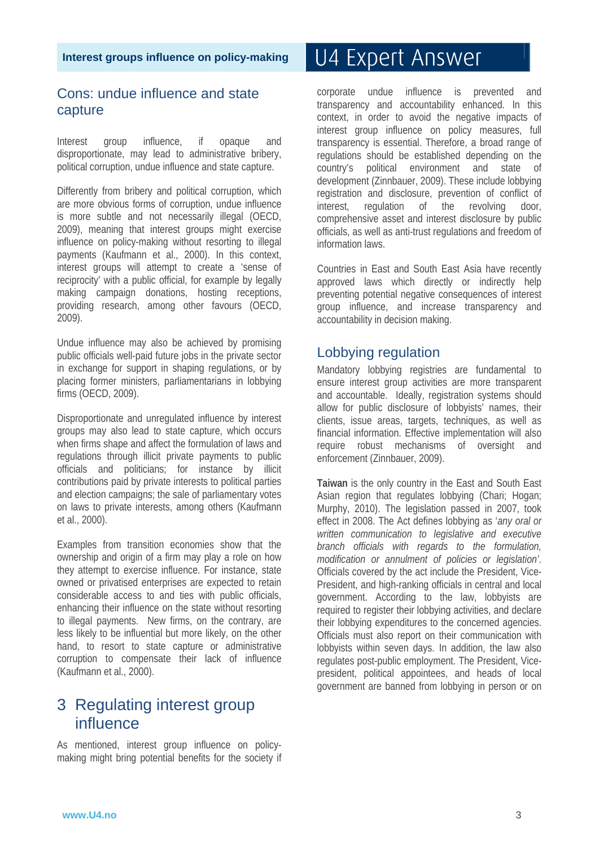### Cons: undue influence and state capture

Interest group influence, if opaque and disproportionate, may lead to administrative bribery, political corruption, undue influence and state capture.

Differently from bribery and political corruption, which are more obvious forms of corruption, undue influence is more subtle and not necessarily illegal (OECD, 2009), meaning that interest groups might exercise influence on policy-making without resorting to illegal payments (Kaufmann et al., 2000). In this context, interest groups will attempt to create a 'sense of reciprocity' with a public official, for example by legally making campaign donations, hosting receptions, providing research, among other favours (OECD, 2009).

Undue influence may also be achieved by promising public officials well-paid future jobs in the private sector in exchange for support in shaping regulations, or by placing former ministers, parliamentarians in lobbying firms (OECD, 2009).

Disproportionate and unregulated influence by interest groups may also lead to state capture, which occurs when firms shape and affect the formulation of laws and regulations through illicit private payments to public officials and politicians; for instance by illicit contributions paid by private interests to political parties and election campaigns; the sale of parliamentary votes on laws to private interests, among others (Kaufmann et al., 2000).

Examples from transition economies show that the ownership and origin of a firm may play a role on how they attempt to exercise influence. For instance, state owned or privatised enterprises are expected to retain considerable access to and ties with public officials, enhancing their influence on the state without resorting to illegal payments. New firms, on the contrary, are less likely to be influential but more likely, on the other hand, to resort to state capture or administrative corruption to compensate their lack of influence (Kaufmann et al., 2000).

### 3 Regulating interest group influence

As mentioned, interest group influence on policymaking might bring potential benefits for the society if

# U4 Expert Answer

corporate undue influence is prevented and transparency and accountability enhanced. In this context, in order to avoid the negative impacts of interest group influence on policy measures, full transparency is essential. Therefore, a broad range of regulations should be established depending on the country's political environment and state of development (Zinnbauer, 2009). These include lobbying registration and disclosure, prevention of conflict of interest, regulation of the revolving door, comprehensive asset and interest disclosure by public officials, as well as anti-trust regulations and freedom of information laws.

Countries in East and South East Asia have recently approved laws which directly or indirectly help preventing potential negative consequences of interest group influence, and increase transparency and accountability in decision making.

### Lobbying regulation

Mandatory lobbying registries are fundamental to ensure interest group activities are more transparent and accountable. Ideally, registration systems should allow for public disclosure of lobbyists' names, their clients, issue areas, targets, techniques, as well as financial information. Effective implementation will also require robust mechanisms of oversight and enforcement (Zinnbauer, 2009).

**Taiwan** is the only country in the East and South East Asian region that regulates lobbying (Chari; Hogan; Murphy, 2010). The legislation passed in 2007, took effect in 2008. The Act defines lobbying as '*any oral or written communication to legislative and executive branch officials with regards to the formulation, modification or annulment of policies or legislation'*. Officials covered by the act include the President, Vice-President, and high-ranking officials in central and local government. According to the law, lobbyists are required to register their lobbying activities, and declare their lobbying expenditures to the concerned agencies. Officials must also report on their communication with lobbyists within seven days. In addition, the law also regulates post-public employment. The President, Vicepresident, political appointees, and heads of local government are banned from lobbying in person or on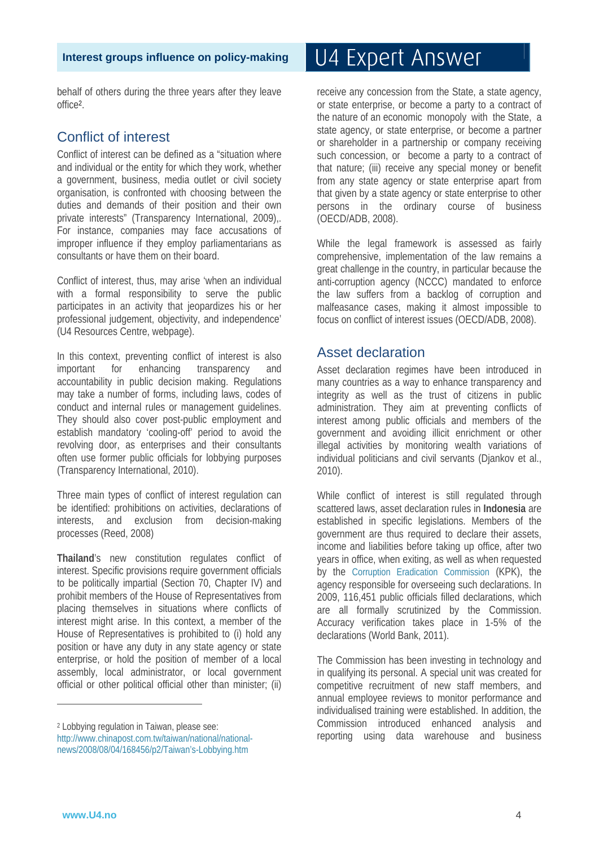behalf of others during the three years after they leave office2.

### Conflict of interest

Conflict of interest can be defined as a "situation where and individual or the entity for which they work, whether a government, business, media outlet or civil society organisation, is confronted with choosing between the duties and demands of their position and their own private interests" (Transparency International, 2009),. For instance, companies may face accusations of improper influence if they employ parliamentarians as consultants or have them on their board.

Conflict of interest, thus, may arise 'when an individual with a formal responsibility to serve the public participates in an activity that jeopardizes his or her professional judgement, objectivity, and independence' (U4 Resources Centre, webpage).

In this context, preventing conflict of interest is also important for enhancing transparency and accountability in public decision making. Regulations may take a number of forms, including laws, codes of conduct and internal rules or management guidelines. They should also cover post-public employment and establish mandatory 'cooling-off' period to avoid the revolving door, as enterprises and their consultants often use former public officials for lobbying purposes (Transparency International, 2010).

Three main types of conflict of interest regulation can be identified: prohibitions on activities, declarations of interests, and exclusion from decision-making processes (Reed, 2008)

**Thailand**'s new constitution regulates conflict of interest. Specific provisions require government officials to be politically impartial (Section 70, Chapter IV) and prohibit members of the House of Representatives from placing themselves in situations where conflicts of interest might arise. In this context, a member of the House of Representatives is prohibited to (i) hold any position or have any duty in any state agency or state enterprise, or hold the position of member of a local assembly, local administrator, or local government official or other political official other than minister; (ii)

# U4 Expert Answer

receive any concession from the State, a state agency, or state enterprise, or become a party to a contract of the nature of an economic monopoly with the State, a state agency, or state enterprise, or become a partner or shareholder in a partnership or company receiving such concession, or become a party to a contract of that nature; (iii) receive any special money or benefit from any state agency or state enterprise apart from that given by a state agency or state enterprise to other persons in the ordinary course of business (OECD/ADB, 2008).

While the legal framework is assessed as fairly comprehensive, implementation of the law remains a great challenge in the country, in particular because the anti-corruption agency (NCCC) mandated to enforce the law suffers from a backlog of corruption and malfeasance cases, making it almost impossible to focus on conflict of interest issues (OECD/ADB, 2008).

### Asset declaration

Asset declaration regimes have been introduced in many countries as a way to enhance transparency and integrity as well as the trust of citizens in public administration. They aim at preventing conflicts of interest among public officials and members of the government and avoiding illicit enrichment or other illegal activities by monitoring wealth variations of individual politicians and civil servants (Djankov et al., 2010).

While conflict of interest is still regulated through scattered laws, asset declaration rules in **Indonesia** are established in specific legislations. Members of the government are thus required to declare their assets, income and liabilities before taking up office, after two years in office, when exiting, as well as when requested by the Corruption Eradication Commission (KPK), the agency responsible for overseeing such declarations. In 2009, 116,451 public officials filled declarations, which are all formally scrutinized by the Commission. Accuracy verification takes place in 1-5% of the declarations (World Bank, 2011).

The Commission has been investing in technology and in qualifying its personal. A special unit was created for competitive recruitment of new staff members, and annual employee reviews to monitor performance and individualised training were established. In addition, the Commission introduced enhanced analysis and reporting using data warehouse and business

 $\overline{a}$ 

<sup>2</sup> Lobbying regulation in Taiwan, please see:

http://www.chinapost.com.tw/taiwan/national/nationalnews/2008/08/04/168456/p2/Taiwan's-Lobbying.htm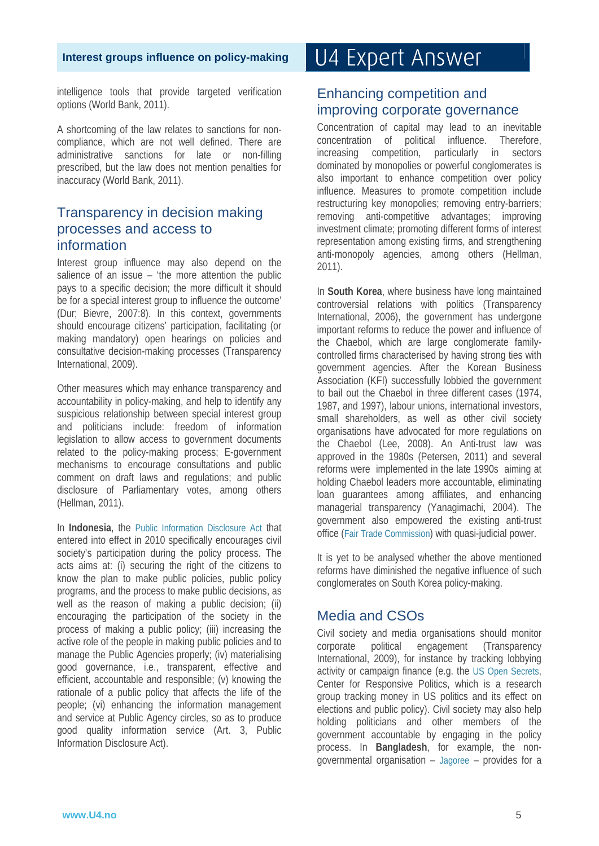intelligence tools that provide targeted verification options (World Bank, 2011).

A shortcoming of the law relates to sanctions for noncompliance, which are not well defined. There are administrative sanctions for late or non-filling prescribed, but the law does not mention penalties for inaccuracy (World Bank, 2011).

#### Transparency in decision making processes and access to information

Interest group influence may also depend on the salience of an issue – 'the more attention the public pays to a specific decision; the more difficult it should be for a special interest group to influence the outcome' (Dur; Bievre, 2007:8). In this context, governments should encourage citizens' participation, facilitating (or making mandatory) open hearings on policies and consultative decision-making processes (Transparency International, 2009).

Other measures which may enhance transparency and accountability in policy-making, and help to identify any suspicious relationship between special interest group and politicians include: freedom of information legislation to allow access to government documents related to the policy-making process; E-government mechanisms to encourage consultations and public comment on draft laws and regulations; and public disclosure of Parliamentary votes, among others (Hellman, 2011).

In **Indonesia**, the Public Information Disclosure Act that entered into effect in 2010 specifically encourages civil society's participation during the policy process. The acts aims at: (i) securing the right of the citizens to know the plan to make public policies, public policy programs, and the process to make public decisions, as well as the reason of making a public decision; (ii) encouraging the participation of the society in the process of making a public policy; (iii) increasing the active role of the people in making public policies and to manage the Public Agencies properly; (iv) materialising good governance, i.e., transparent, effective and efficient, accountable and responsible; (v) knowing the rationale of a public policy that affects the life of the people; (vi) enhancing the information management and service at Public Agency circles, so as to produce good quality information service (Art. 3, Public Information Disclosure Act).

# U4 Expert Answer

#### Enhancing competition and improving corporate governance

Concentration of capital may lead to an inevitable concentration of political influence. Therefore, increasing competition, particularly in sectors dominated by monopolies or powerful conglomerates is also important to enhance competition over policy influence. Measures to promote competition include restructuring key monopolies; removing entry-barriers; removing anti-competitive advantages; improving investment climate; promoting different forms of interest representation among existing firms, and strengthening anti-monopoly agencies, among others (Hellman, 2011).

In **South Korea**, where business have long maintained controversial relations with politics (Transparency International, 2006), the government has undergone important reforms to reduce the power and influence of the Chaebol, which are large conglomerate familycontrolled firms characterised by having strong ties with government agencies. After the Korean Business Association (KFI) successfully lobbied the government to bail out the Chaebol in three different cases (1974, 1987, and 1997), labour unions, international investors, small shareholders, as well as other civil society organisations have advocated for more regulations on the Chaebol (Lee, 2008). An Anti-trust law was approved in the 1980s (Petersen, 2011) and several reforms were implemented in the late 1990s aiming at holding Chaebol leaders more accountable, eliminating loan guarantees among affiliates, and enhancing managerial transparency (Yanagimachi, 2004). The government also empowered the existing anti-trust office (Fair Trade Commission) with quasi-judicial power.

It is yet to be analysed whether the above mentioned reforms have diminished the negative influence of such conglomerates on South Korea policy-making.

### Media and CSOs

Civil society and media organisations should monitor corporate political engagement (Transparency International, 2009), for instance by tracking lobbying activity or campaign finance (e.g. the US Open Secrets, Center for Responsive Politics, which is a research group tracking money in US politics and its effect on elections and public policy). Civil society may also help holding politicians and other members of the government accountable by engaging in the policy process. In **Bangladesh**, for example, the nongovernmental organisation – Jagoree – provides for a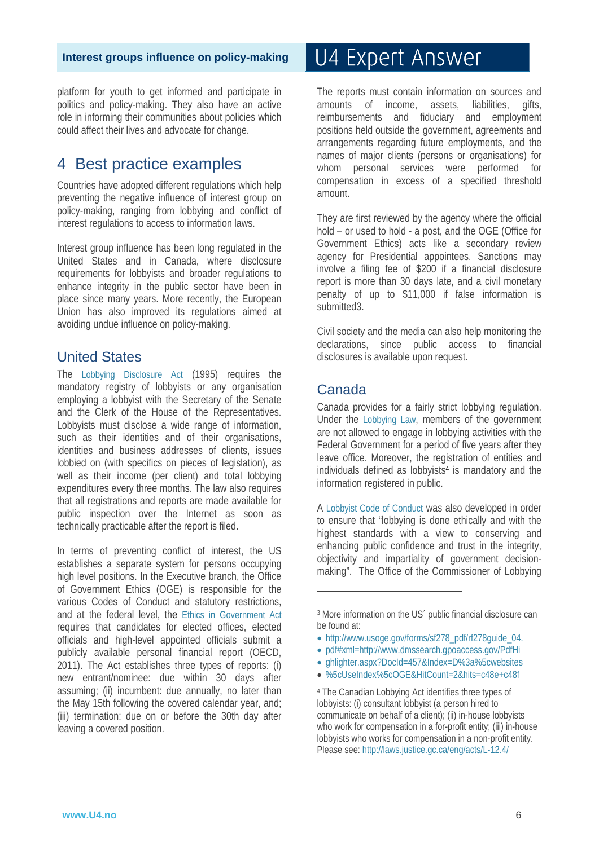platform for youth to get informed and participate in politics and policy-making. They also have an active role in informing their communities about policies which could affect their lives and advocate for change.

### 4 Best practice examples

Countries have adopted different regulations which help preventing the negative influence of interest group on policy-making, ranging from lobbying and conflict of interest regulations to access to information laws.

Interest group influence has been long regulated in the United States and in Canada, where disclosure requirements for lobbyists and broader regulations to enhance integrity in the public sector have been in place since many years. More recently, the European Union has also improved its regulations aimed at avoiding undue influence on policy-making.

#### United States

The Lobbying Disclosure Act (1995) requires the mandatory registry of lobbyists or any organisation employing a lobbyist with the Secretary of the Senate and the Clerk of the House of the Representatives. Lobbyists must disclose a wide range of information, such as their identities and of their organisations, identities and business addresses of clients, issues lobbied on (with specifics on pieces of legislation), as well as their income (per client) and total lobbying expenditures every three months. The law also requires that all registrations and reports are made available for public inspection over the Internet as soon as technically practicable after the report is filed.

In terms of preventing conflict of interest, the US establishes a separate system for persons occupying high level positions. In the Executive branch, the Office of Government Ethics (OGE) is responsible for the various Codes of Conduct and statutory restrictions, and at the federal level, the Ethics in Government Act requires that candidates for elected offices, elected officials and high-level appointed officials submit a publicly available personal financial report (OECD, 2011). The Act establishes three types of reports: (i) new entrant/nominee: due within 30 days after assuming; (ii) incumbent: due annually, no later than the May 15th following the covered calendar year, and; (iii) termination: due on or before the 30th day after leaving a covered position.

# U4 Expert Answer

The reports must contain information on sources and amounts of income, assets, liabilities, gifts, reimbursements and fiduciary and employment positions held outside the government, agreements and arrangements regarding future employments, and the names of major clients (persons or organisations) for whom personal services were performed for compensation in excess of a specified threshold amount.

They are first reviewed by the agency where the official hold – or used to hold - a post, and the OGE (Office for Government Ethics) acts like a secondary review agency for Presidential appointees. Sanctions may involve a filing fee of \$200 if a financial disclosure report is more than 30 days late, and a civil monetary penalty of up to \$11,000 if false information is submitted3.

Civil society and the media can also help monitoring the declarations, since public access to financial disclosures is available upon request.

#### Canada

.

Canada provides for a fairly strict lobbying regulation. Under the Lobbying Law, members of the government are not allowed to engage in lobbying activities with the Federal Government for a period of five years after they leave office. Moreover, the registration of entities and individuals defined as lobbyists<sup>4</sup> is mandatory and the information registered in public.

A Lobbyist Code of Conduct was also developed in order to ensure that "lobbying is done ethically and with the highest standards with a view to conserving and enhancing public confidence and trust in the integrity, objectivity and impartiality of government decisionmaking". The Office of the Commissioner of Lobbying

- http://www.usoge.gov/forms/sf278\_pdf/rf278guide\_04.
- pdf#xml=http://www.dmssearch.gpoaccess.gov/PdfHi
- ghlighter.aspx?DocId=457&Index=D%3a%5cwebsites
- %5cUseIndex%5cOGE&HitCount=2&hits=c48e+c48f

4 The Canadian Lobbying Act identifies three types of lobbyists: (i) consultant lobbyist (a person hired to communicate on behalf of a client); (ii) in-house lobbyists who work for compensation in a for-profit entity; (iii) in-house lobbyists who works for compensation in a non-profit entity. Please see: http://laws.justice.gc.ca/eng/acts/L-12.4/

<sup>3</sup> More information on the US´ public financial disclosure can be found at: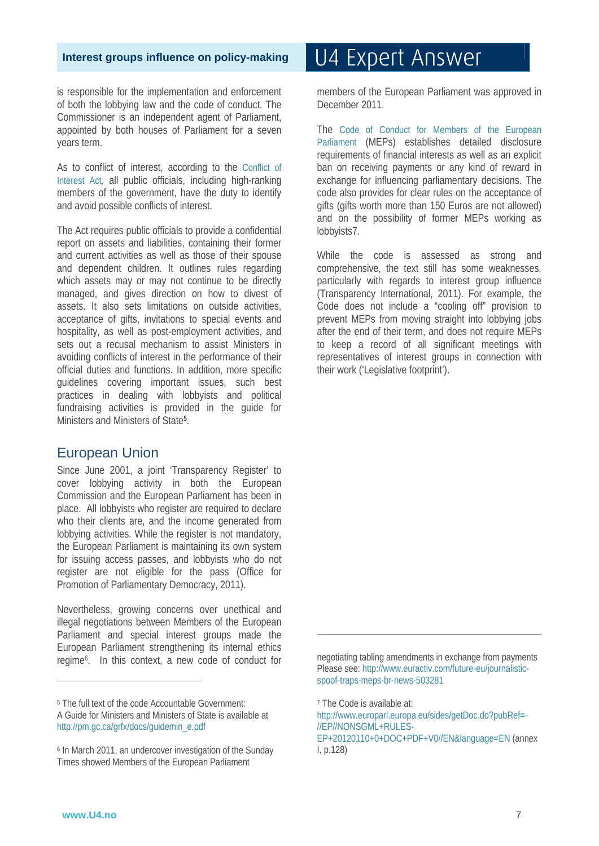is responsible for the implementation and enforcement of both the lobbying law and the code of conduct. The Commissioner is an independent agent of Parliament, appointed by both houses of Parliament for a seven years term.

As to conflict of interest, according to the Conflict of Interest Act*,* all public officials, including high-ranking members of the government, have the duty to identify and avoid possible conflicts of interest.

The Act requires public officials to provide a confidential report on assets and liabilities, containing their former and current activities as well as those of their spouse and dependent children. It outlines rules regarding which assets may or may not continue to be directly managed, and gives direction on how to divest of assets. It also sets limitations on outside activities, acceptance of gifts, invitations to special events and hospitality, as well as post-employment activities, and sets out a recusal mechanism to assist Ministers in avoiding conflicts of interest in the performance of their official duties and functions. In addition, more specific guidelines covering important issues, such best practices in dealing with lobbyists and political fundraising activities is provided in the guide for Ministers and Ministers of State5.

#### European Union

Since June 2001, a joint 'Transparency Register' to cover lobbying activity in both the European Commission and the European Parliament has been in place. All lobbyists who register are required to declare who their clients are, and the income generated from lobbying activities. While the register is not mandatory, the European Parliament is maintaining its own system for issuing access passes, and lobbyists who do not register are not eligible for the pass (Office for Promotion of Parliamentary Democracy, 2011).

Nevertheless, growing concerns over unethical and illegal negotiations between Members of the European Parliament and special interest groups made the European Parliament strengthening its internal ethics regime6. In this context, a new code of conduct for

5 The full text of the code Accountable Government: A Guide for Ministers and Ministers of State is available at http://pm.gc.ca/grfx/docs/guidemin\_e.pdf

# U4 Expert Answer

members of the European Parliament was approved in December 2011.

The Code of Conduct for Members of the European Parliament (MEPs) establishes detailed disclosure requirements of financial interests as well as an explicit ban on receiving payments or any kind of reward in exchange for influencing parliamentary decisions. The code also provides for clear rules on the acceptance of gifts (gifts worth more than 150 Euros are not allowed) and on the possibility of former MEPs working as lobbyists7.

While the code is assessed as strong and comprehensive, the text still has some weaknesses, particularly with regards to interest group influence (Transparency International, 2011). For example, the Code does not include a "cooling off" provision to prevent MEPs from moving straight into lobbying jobs after the end of their term, and does not require MEPs to keep a record of all significant meetings with representatives of interest groups in connection with their work ('Legislative footprint').

negotiating tabling amendments in exchange from payments Please see: http://www.euractiv.com/future-eu/journalisticspoof-traps-meps-br-news-503281

.

http://www.europarl.europa.eu/sides/getDoc.do?pubRef=- //EP//NONSGML+RULES-

 $\overline{a}$ 

<sup>6</sup> In March 2011, an undercover investigation of the Sunday Times showed Members of the European Parliament

<sup>7</sup> The Code is available at:

EP+20120110+0+DOC+PDF+V0//EN&language=EN (annex I, p.128)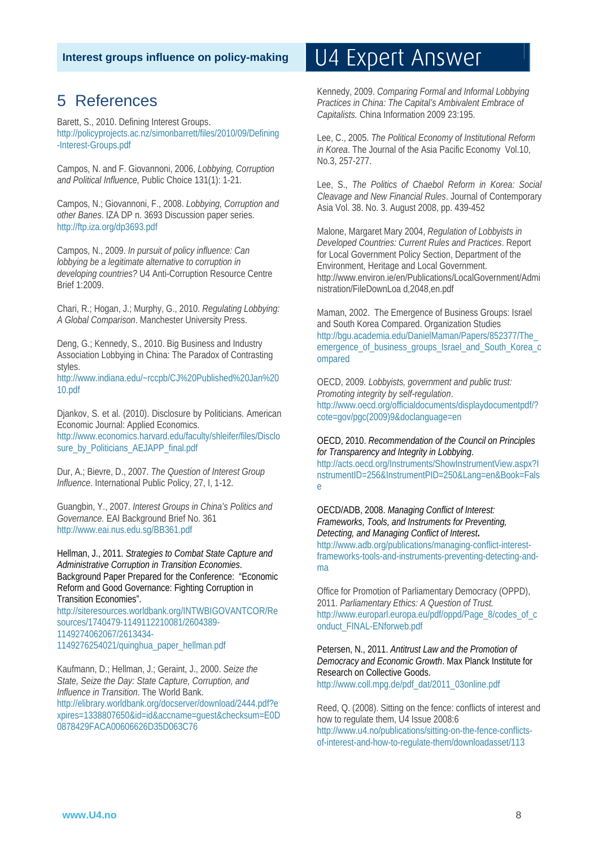### 5 References

Barett, S., 2010. Defining Interest Groups. http://policyprojects.ac.nz/simonbarrett/files/2010/09/Defining -Interest-Groups.pdf

Campos, N. and F. Giovannoni, 2006, *Lobbying, Corruption and Political Influence,* Public Choice 131(1): 1-21.

Campos, N.; Giovannoni, F., 2008. *Lobbying, Corruption and other Banes*. IZA DP n. 3693 Discussion paper series. http://ftp.iza.org/dp3693.pdf

Campos, N., 2009. *In pursuit of policy influence: Can lobbying be a legitimate alternative to corruption in developing countries?* U4 Anti-Corruption Resource Centre Brief 1:2009.

Chari, R.; Hogan, J.; Murphy, G., 2010. *Regulating Lobbying: A Global Comparison*. Manchester University Press.

Deng, G.; Kennedy, S., 2010. Big Business and Industry Association Lobbying in China: The Paradox of Contrasting styles.

http://www.indiana.edu/~rccpb/CJ%20Published%20Jan%20 10.pdf

Djankov, S. et al. (2010). Disclosure by Politicians. American Economic Journal: Applied Economics. http://www.economics.harvard.edu/faculty/shleifer/files/Disclo sure\_by\_Politicians\_AEJAPP\_final.pdf

Dur, A.; Bievre, D., 2007. *The Question of Interest Group Influence*. International Public Policy, 27, I, 1-12.

Guangbin, Y., 2007. *Interest Groups in China's Politics and Governance.* EAI Background Brief No. 361 http://www.eai.nus.edu.sg/BB361.pdf

Hellman, J., 2011. *Strategies to Combat State Capture and Administrative Corruption in Transition Economies*. Background Paper Prepared for the Conference: "Economic Reform and Good Governance: Fighting Corruption in Transition Economies".

http://siteresources.worldbank.org/INTWBIGOVANTCOR/Re sources/1740479-1149112210081/2604389- 1149274062067/2613434- 1149276254021/quinghua\_paper\_hellman.pdf

Kaufmann, D.; Hellman, J.; Geraint, J., 2000. *Seize the State, Seize the Day: State Capture, Corruption, and Influence in Transition*. The World Bank. http://elibrary.worldbank.org/docserver/download/2444.pdf?e

xpires=1338807650&id=id&accname=guest&checksum=E0D 0878429FACA00606626D35D063C76

# U4 Expert Answer

Kennedy, 2009. *Comparing Formal and Informal Lobbying Practices in China: The Capital's Ambivalent Embrace of Capitalists.* China Information 2009 23:195.

Lee, C., 2005. *The Political Economy of Institutional Reform in Korea*. The Journal of the Asia Pacific Economy Vol.10, No.3, 257-277.

Lee, S., *The Politics of Chaebol Reform in Korea: Social Cleavage and New Financial Rules*. Journal of Contemporary Asia Vol. 38. No. 3. August 2008, pp. 439-452

Malone, Margaret Mary 2004, *Regulation of Lobbyists in Developed Countries: Current Rules and Practices*. Report for Local Government Policy Section, Department of the Environment, Heritage and Local Government. http://www.environ.ie/en/Publications/LocalGovernment/Admi nistration/FileDownLoa d,2048,en.pdf

Maman, 2002. The Emergence of Business Groups: Israel and South Korea Compared. Organization Studies http://bgu.academia.edu/DanielMaman/Papers/852377/The\_ emergence of business groups Israel and South Korea c ompared

OECD, 2009*. Lobbyists, government and public trust: Promoting integrity by self-regulation*. http://www.oecd.org/officialdocuments/displaydocumentpdf/? cote=gov/pgc(2009)9&doclanguage=en

#### OECD, 2010. *Recommendation of the Council on Principles for Transparency and Integrity in Lobbying*.

http://acts.oecd.org/Instruments/ShowInstrumentView.aspx?I nstrumentID=256&InstrumentPID=250&Lang=en&Book=Fals e

OECD/ADB, 2008. *Managing Conflict of Interest: Frameworks, Tools, and Instruments for Preventing, Detecting, and Managing Conflict of Interest***.**  http://www.adb.org/publications/managing-conflict-interest-

frameworks-tools-and-instruments-preventing-detecting-andma

Office for Promotion of Parliamentary Democracy (OPPD), 2011. *Parliamentary Ethics: A Question of Trust.* http://www.europarl.europa.eu/pdf/oppd/Page\_8/codes\_of\_c onduct\_FINAL-ENforweb.pdf

Petersen, N., 2011. *Antitrust Law and the Promotion of Democracy and Economic Growth*. Max Planck Institute for Research on Collective Goods. http://www.coll.mpg.de/pdf\_dat/2011\_03online.pdf

Reed, Q. (2008). Sitting on the fence: conflicts of interest and how to regulate them, U4 Issue 2008:6 http://www.u4.no/publications/sitting-on-the-fence-conflictsof-interest-and-how-to-regulate-them/downloadasset/113